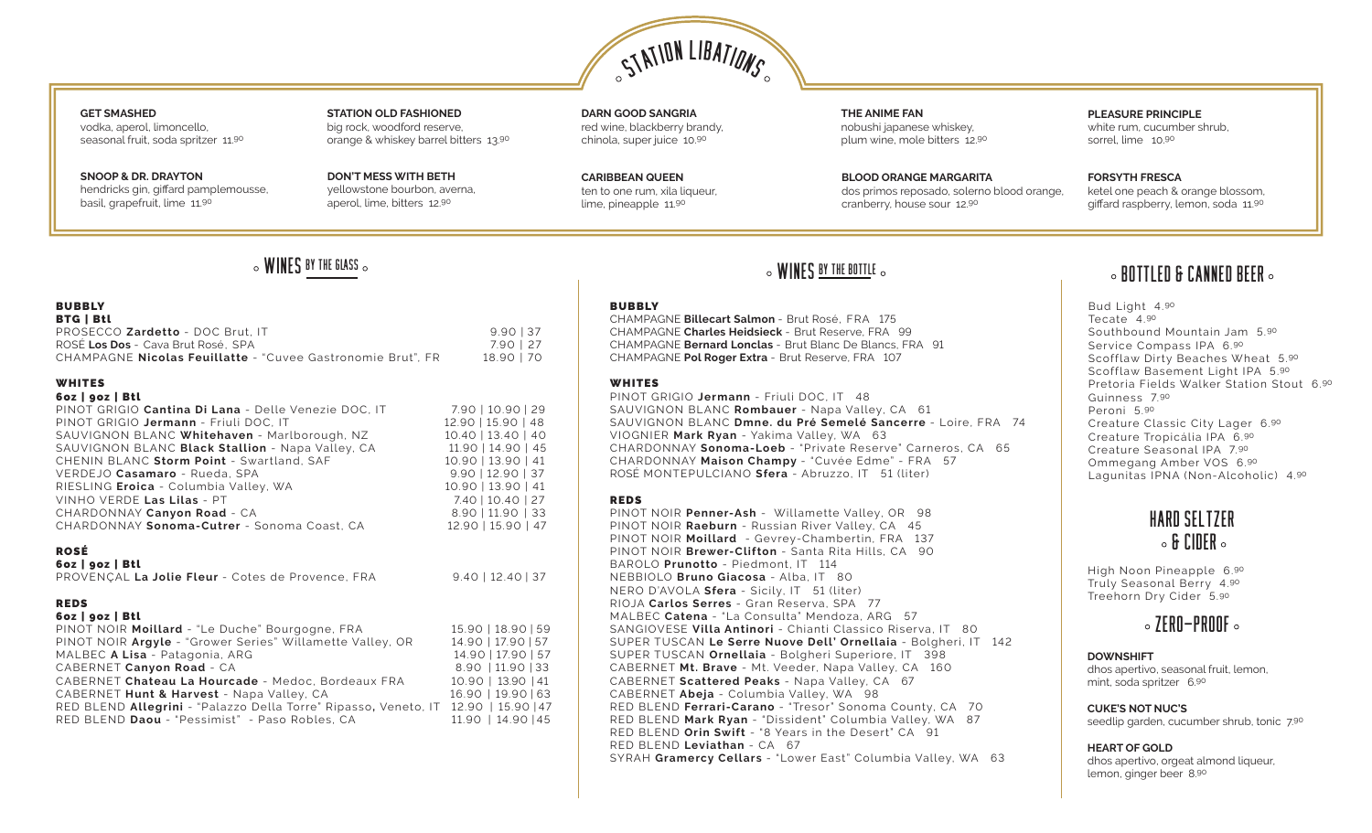

### **GET SMASHED** vodka, aperol, limoncello, seasonal fruit, soda spritzer 11.90

**SNOOP & DR. DRAYTON** hendricks gin, giffard pamplemousse, basil, grapefruit, lime 11.90

**STATION OLD FASHIONED** big rock, woodford reserve, orange & whiskey barrel bitters 13.90

**DON'T MESS WITH BETH**  yellowstone bourbon, averna, aperol, lime, bitters 12.90

**DARN GOOD SANGRIA** red wine, blackberry brandy, chinola, super juice 10.90

**CARIBBEAN QUEEN** ten to one rum, xila liqueur. lime, pineapple 11.90

**THE ANIME FAN** nobushi japanese whiskey, plum wine, mole bitters 12.90

**BLOOD ORANGE MARGARITA** dos primos reposado, solerno blood orange, cranberry, house sour 12.90

**PLEASURE PRINCIPLE**  white rum, cucumber shrub, sorrel, lime 10.90

**FORSYTH FRESCA** ketel one peach & orange blossom, giffard raspberry, lemon, soda 11.90

### **BUBBLY** BTG | Btl PROSECCO **Zardetto** - DOC Brut, IT<br>
ROSÉ Los Dos - Cava Brut Rosé, SPA<br>
7.90 | 27 ROSÉ Los Dos - Cava Brut Rosé, SPA CHAMPAGNE **Nicolas Feuillatte** - "Cuvee Gastronomie Brut", FR 18.90 | 70

### WHITES

### 6oz | 9oz | Btl PINOT GRIGIO **Cantina Di Lana** - Delle Venezie DOC, IT 7.90 | 10.90 | 29 PINOT GRIGIO **Jermann** - Friuli DOC, IT 12.90 | 15.90 | 48<br>SAUVIGNON BLANC Whitehaven - Marlborough, NZ 10.40 | 13.40 | 40 SAUVIGNON BLANC Whitehaven - Marlborough, NZ SAUVIGNON BLANC **Black Stallion** - Napa Valley, CA 11.90 | 14.90 | 45<br>CHENIN BLANC Storm Point - Swartland. SAF 10.90 | 13.90 | 41 CHENIN BLANC Storm Point - Swartland, SAF VERDEJO **Casamaro** - Rueda, SPA 9.90 | 12.90 | 37 RIESLING **Eroica** - Columbia Valley, WA 10.90 | 13.90 | 41<br>VINHO VERDE **Las Lilas** - PT 7.40 | 10.40 | 27 VINHO VERDE Las Lilas - PT CHARDONNAY **Canyon Road** - CA 8.90 | 11.90 | 33 CHARDONNAY **Sonoma-Cutrer** - Sonoma Coast, CA 12.90 | 15.90 | 47

### ROSÉ

| 6oz   goz   Btl |  |
|-----------------|--|
|-----------------|--|

| PROVENÇAL La Jolie Fleur - Cotes de Provence, FRA |  | $9.40$   12.40   37 |
|---------------------------------------------------|--|---------------------|

### REDS

|  | 6oz   goz   Btl |  |
|--|-----------------|--|
|--|-----------------|--|

| PINOT NOIR Moillard - "Le Duche" Bourgogne, FRA                                    | 15.90   18.90   59 |
|------------------------------------------------------------------------------------|--------------------|
| PINOT NOIR Argyle - "Grower Series" Willamette Valley, OR                          | 14.90   17.90   57 |
| MALBEC A Lisa - Patagonia, ARG                                                     | 14.90   17.90   57 |
| CABERNET Canyon Road - CA                                                          | 8.90   11.90   33  |
| CABERNET Chateau La Hourcade - Medoc, Bordeaux FRA                                 | 10.90   13.90   41 |
| CABERNET Hunt & Harvest - Napa Valley, CA                                          | 16.90   19.90   63 |
| RED BLEND Allegrini - "Palazzo Della Torre" Ripasso, Veneto, IT 12.90   15.90   47 |                    |
| RED BLEND Daou - "Pessimist" - Paso Robles, CA                                     | 11.90   14.90   45 |
|                                                                                    |                    |

### **BUBBLY**

CHAMPAGNE **Billecart Salmon** - Brut Rosé, FRA 175 CHAMPAGNE **Charles Heidsieck** - Brut Reserve, FRA 99 CHAMPAGNE **Bernard Lonclas** - Brut Blanc De Blancs, FRA 91 CHAMPAGNE **Pol Roger Extra** - Brut Reserve, FRA 107

### WHITES

PINOT GRIGIO **Jermann** - Friuli DOC, IT 48 SAUVIGNON BLANC **Rombauer** - Napa Valley, CA 61 SAUVIGNON BLANC **Dmne. du Pré Semelé Sancerre** - Loire, FRA 74 VIOGNIER **Mark Ryan** - Yakima Valley, WA 63 CHARDONNAY **Sonoma-Loeb** - "Private Reserve" Carneros, CA 65 CHARDONNAY **Maison Champy** - "Cuvée Edme" - FRA 57 ROSÉ MONTEPULCIANO **Sfera** - Abruzzo, IT 51 (liter)

### REDS

PINOT NOIR **Penner-Ash** - Willamette Valley, OR 98 PINOT NOIR **Raeburn** - Russian River Valley, CA 45 PINOT NOIR **Moillard** - Gevrey-Chambertin, FRA 137 PINOT NOIR **Brewer-Clifton** - Santa Rita Hills, CA 90 BAROLO **Prunotto** - Piedmont, IT 114 NEBBIOLO **Bruno Giacosa** - Alba, IT 80 NERO D'AVOLA **Sfera** - Sicily, IT 51 (liter) RIOJA **Carlos Serres** - Gran Reserva, SPA 77 MALBEC **Catena** - "La Consulta" Mendoza, ARG 57 SANGIOVESE **Villa Antinori** - Chianti Classico Riserva, IT 80 SUPER TUSCAN **Le Serre Nuove Dell' Ornellaia** - Bolgheri, IT 142 SUPER TUSCAN **Ornellaia** - Bolgheri Superiore, IT 398 CABERNET **Mt. Brave** - Mt. Veeder, Napa Valley, CA 160 CABERNET **Scattered Peaks** - Napa Valley, CA 67 CABERNET **Abeja** - Columbia Valley, WA 98 RED BLEND **Ferrari-Carano** - "Tresor" Sonoma County, CA 70 RED BLEND **Mark Ryan** - "Dissident" Columbia Valley, WA 87 RED BLEND **Orin Swift** - "8 Years in the Desert" CA 91 RED BLEND **Leviathan** - CA 67 SYRAH **Gramercy Cellars** - "Lower East" Columbia Valley, WA 63

# $\sim$  WINES <u>by the glass</u>  $\sim$  both the canned beer  $\sim$  wines by the bottle  $\sim$   $\sim$  bottled & canned beer  $\sim$

Bud Light 4.90 Tecate 4.90 Southbound Mountain Jam 5.90 Service Compass IPA 6.90 Scofflaw Dirty Beaches Wheat 5.90 Scofflaw Basement Light IPA 5.90 Pretoria Fields Walker Station Stout 6.90 Guinness 7.90 Peroni 5.90 Creature Classic City Lager 6.90 Creature Tropicália IPA 6.90 Creature Seasonal IPA 7.90 Ommegang Amber VOS 6.90 Lagunitas IPNA (Non-Alcoholic) 4.90

## Hard seltzer  $\circ$  & CIDER  $\circ$

High Noon Pineapple 6.90 Truly Seasonal Berry 4.90 Treehorn Dry Cider 5.90

## $\circ$  ZERO-PROOF  $\circ$

### **DOWNSHIFT**

dhos apertivo, seasonal fruit, lemon, mint, soda spritzer 6.90

### **CUKE'S NOT NUC'S**

seedlip garden, cucumber shrub, tonic 7.90

### **HEART OF GOLD**

dhos apertivo, orgeat almond liqueur, lemon, ginger beer 8.90